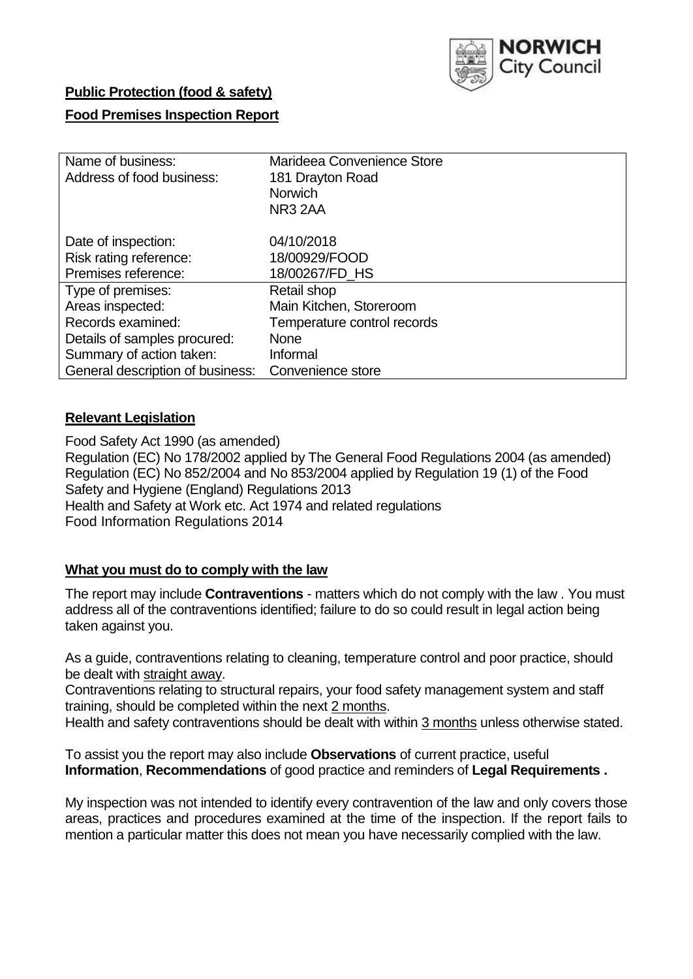

## **Public Protection (food & safety)**

### **Food Premises Inspection Report**

| Name of business:                | Marideea Convenience Store  |  |  |  |  |
|----------------------------------|-----------------------------|--|--|--|--|
| Address of food business:        | 181 Drayton Road            |  |  |  |  |
|                                  | <b>Norwich</b>              |  |  |  |  |
|                                  | NR <sub>3</sub> 2AA         |  |  |  |  |
| Date of inspection:              | 04/10/2018                  |  |  |  |  |
| Risk rating reference:           | 18/00929/FOOD               |  |  |  |  |
| Premises reference:              | 18/00267/FD HS              |  |  |  |  |
| Type of premises:                | Retail shop                 |  |  |  |  |
| Areas inspected:                 | Main Kitchen, Storeroom     |  |  |  |  |
| Records examined:                | Temperature control records |  |  |  |  |
| Details of samples procured:     | <b>None</b>                 |  |  |  |  |
| Summary of action taken:         | Informal                    |  |  |  |  |
| General description of business: | Convenience store           |  |  |  |  |

### **Relevant Legislation**

Food Safety Act 1990 (as amended) Regulation (EC) No 178/2002 applied by The General Food Regulations 2004 (as amended) Regulation (EC) No 852/2004 and No 853/2004 applied by Regulation 19 (1) of the Food Safety and Hygiene (England) Regulations 2013 Health and Safety at Work etc. Act 1974 and related regulations Food Information Regulations 2014

## **What you must do to comply with the law**

The report may include **Contraventions** - matters which do not comply with the law . You must address all of the contraventions identified; failure to do so could result in legal action being taken against you.

As a guide, contraventions relating to cleaning, temperature control and poor practice, should be dealt with straight away.

Contraventions relating to structural repairs, your food safety management system and staff training, should be completed within the next 2 months.

Health and safety contraventions should be dealt with within 3 months unless otherwise stated.

To assist you the report may also include **Observations** of current practice, useful **Information**, **Recommendations** of good practice and reminders of **Legal Requirements .**

My inspection was not intended to identify every contravention of the law and only covers those areas, practices and procedures examined at the time of the inspection. If the report fails to mention a particular matter this does not mean you have necessarily complied with the law.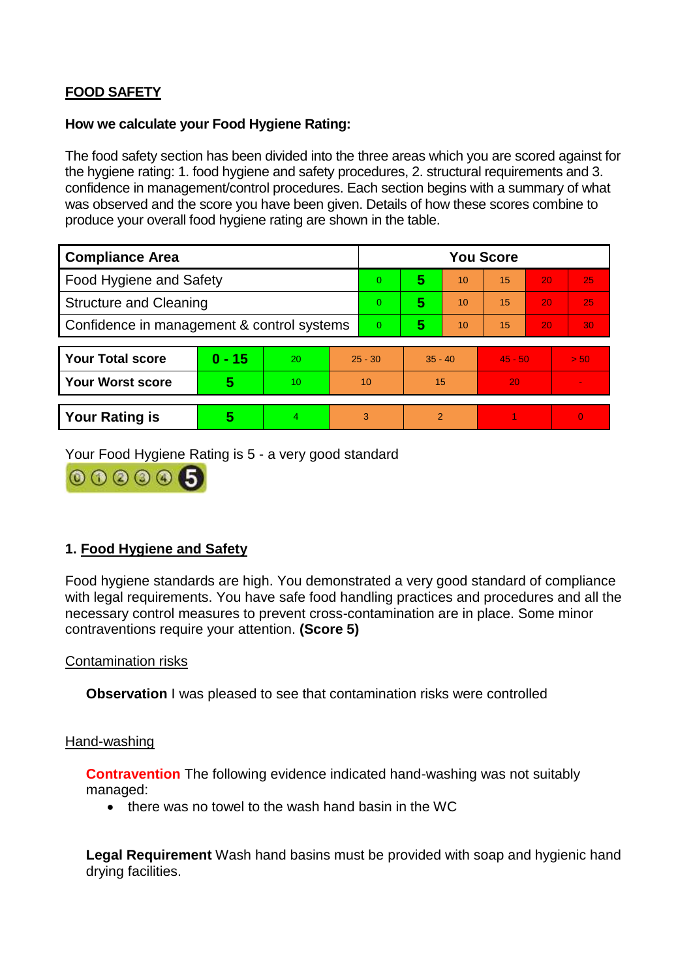# **FOOD SAFETY**

#### **How we calculate your Food Hygiene Rating:**

The food safety section has been divided into the three areas which you are scored against for the hygiene rating: 1. food hygiene and safety procedures, 2. structural requirements and 3. confidence in management/control procedures. Each section begins with a summary of what was observed and the score you have been given. Details of how these scores combine to produce your overall food hygiene rating are shown in the table.

| <b>Compliance Area</b>                     |          |    |                | <b>You Score</b> |                |    |           |    |                |  |  |
|--------------------------------------------|----------|----|----------------|------------------|----------------|----|-----------|----|----------------|--|--|
| Food Hygiene and Safety                    |          |    |                | $\Omega$         | 5              | 10 | 15        | 20 | 25             |  |  |
| <b>Structure and Cleaning</b>              |          |    | $\overline{0}$ | 5                | 10             | 15 | 20        | 25 |                |  |  |
| Confidence in management & control systems |          |    | $\Omega$       | 5                | 10             | 15 | 20        | 30 |                |  |  |
|                                            |          |    |                |                  |                |    |           |    |                |  |  |
| <b>Your Total score</b>                    | $0 - 15$ | 20 | $25 - 30$      |                  | $35 - 40$      |    | $45 - 50$ |    | > 50           |  |  |
| <b>Your Worst score</b>                    | 5        | 10 | 10             |                  | 15             |    | 20        |    | $\blacksquare$ |  |  |
|                                            |          |    |                |                  |                |    |           |    |                |  |  |
| <b>Your Rating is</b>                      | 5        | 4  | 3              |                  | $\overline{2}$ |    |           |    | $\Omega$       |  |  |

Your Food Hygiene Rating is 5 - a very good standard



## **1. Food Hygiene and Safety**

Food hygiene standards are high. You demonstrated a very good standard of compliance with legal requirements. You have safe food handling practices and procedures and all the necessary control measures to prevent cross-contamination are in place. Some minor contraventions require your attention. **(Score 5)**

### Contamination risks

**Observation** I was pleased to see that contamination risks were controlled

#### Hand-washing

**Contravention** The following evidence indicated hand-washing was not suitably managed:

• there was no towel to the wash hand basin in the WC

**Legal Requirement** Wash hand basins must be provided with soap and hygienic hand drying facilities.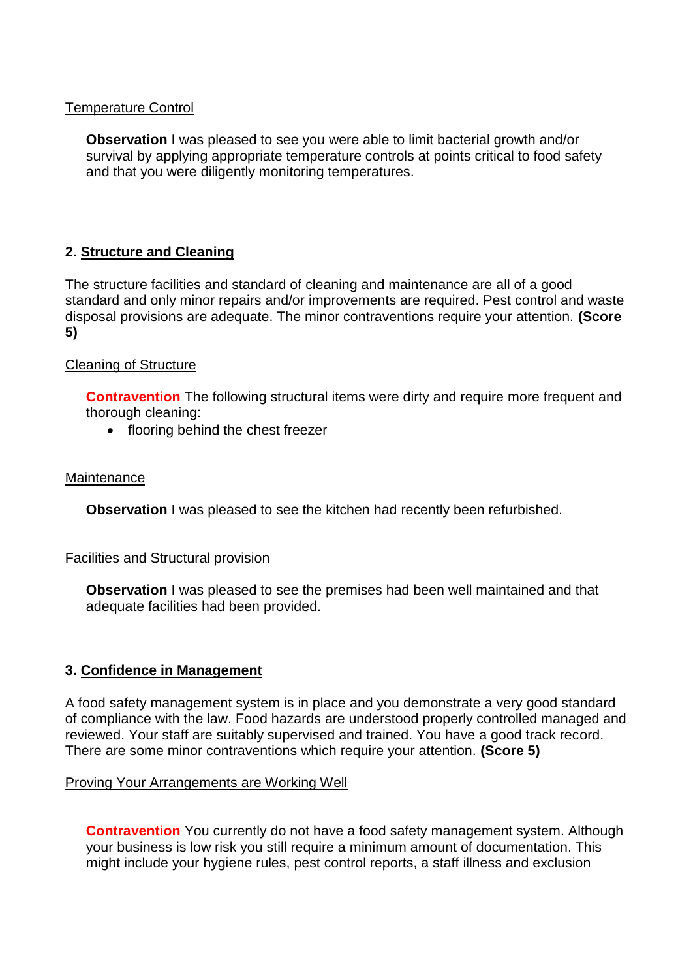### Temperature Control

**Observation** I was pleased to see you were able to limit bacterial growth and/or survival by applying appropriate temperature controls at points critical to food safety and that you were diligently monitoring temperatures.

## **2. Structure and Cleaning**

The structure facilities and standard of cleaning and maintenance are all of a good standard and only minor repairs and/or improvements are required. Pest control and waste disposal provisions are adequate. The minor contraventions require your attention. **(Score 5)**

#### Cleaning of Structure

**Contravention** The following structural items were dirty and require more frequent and thorough cleaning:

• flooring behind the chest freezer

#### **Maintenance**

**Observation** I was pleased to see the kitchen had recently been refurbished.

#### Facilities and Structural provision

**Observation I** was pleased to see the premises had been well maintained and that adequate facilities had been provided.

### **3. Confidence in Management**

A food safety management system is in place and you demonstrate a very good standard of compliance with the law. Food hazards are understood properly controlled managed and reviewed. Your staff are suitably supervised and trained. You have a good track record. There are some minor contraventions which require your attention. **(Score 5)**

#### Proving Your Arrangements are Working Well

**Contravention** You currently do not have a food safety management system. Although your business is low risk you still require a minimum amount of documentation. This might include your hygiene rules, pest control reports, a staff illness and exclusion